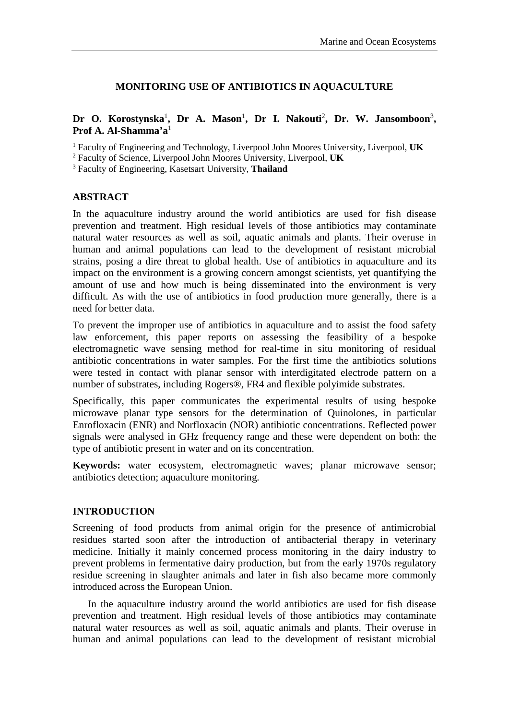## **MONITORING USE OF ANTIBIOTICS IN AQUACULTURE**

## Dr O. Korostynska<sup>1</sup>, Dr A. Mason<sup>1</sup>, Dr I. Nakouti<sup>2</sup>, Dr. W. Jansomboon<sup>3</sup>, **Prof A. Al-Shamma'a**<sup>1</sup>

<sup>1</sup> Faculty of Engineering and Technology, Liverpool John Moores University, Liverpool, **UK**

<sup>2</sup> Faculty of Science, Liverpool John Moores University, Liverpool, **UK**

<sup>3</sup> Faculty of Engineering, Kasetsart University, **Thailand**

## **ABSTRACT**

In the aquaculture industry around the world antibiotics are used for fish disease prevention and treatment. High residual levels of those antibiotics may contaminate natural water resources as well as soil, aquatic animals and plants. Their overuse in human and animal populations can lead to the development of resistant microbial strains, posing a dire threat to global health. Use of antibiotics in aquaculture and its impact on the environment is a growing concern amongst scientists, yet quantifying the amount of use and how much is being disseminated into the environment is very difficult. As with the use of antibiotics in food production more generally, there is a need for better data.

To prevent the improper use of antibiotics in aquaculture and to assist the food safety law enforcement, this paper reports on assessing the feasibility of a bespoke electromagnetic wave sensing method for real-time in situ monitoring of residual antibiotic concentrations in water samples. For the first time the antibiotics solutions were tested in contact with planar sensor with interdigitated electrode pattern on a number of substrates, including Rogers®, FR4 and flexible polyimide substrates.

Specifically, this paper communicates the experimental results of using bespoke microwave planar type sensors for the determination of Quinolones, in particular Enrofloxacin (ENR) and Norfloxacin (NOR) antibiotic concentrations. Reflected power signals were analysed in GHz frequency range and these were dependent on both: the type of antibiotic present in water and on its concentration.

**Keywords:** water ecosystem, electromagnetic waves; planar microwave sensor; antibiotics detection; aquaculture monitoring.

## **INTRODUCTION**

Screening of food products from animal origin for the presence of antimicrobial residues started soon after the introduction of antibacterial therapy in veterinary medicine. Initially it mainly concerned process monitoring in the dairy industry to prevent problems in fermentative dairy production, but from the early 1970s regulatory residue screening in slaughter animals and later in fish also became more commonly introduced across the European Union.

In the aquaculture industry around the world antibiotics are used for fish disease prevention and treatment. High residual levels of those antibiotics may contaminate natural water resources as well as soil, aquatic animals and plants. Their overuse in human and animal populations can lead to the development of resistant microbial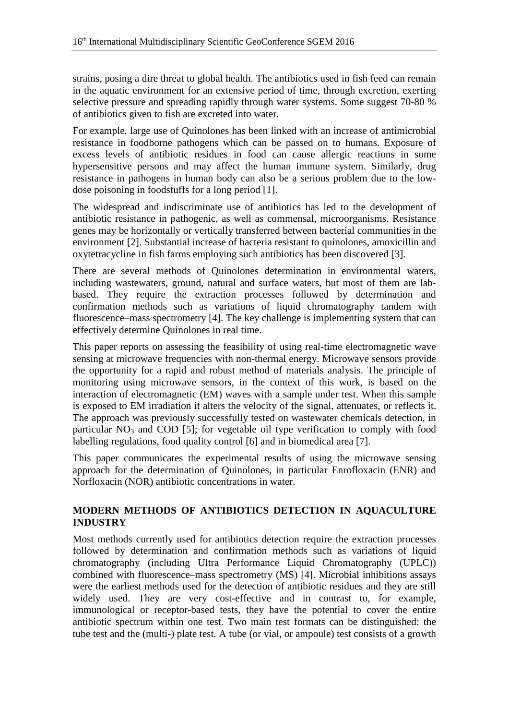strains, posing a dire threat to global health. The antibiotics used in fish feed can remain in the aquatic environment for an extensive period of time, through excretion, exerting selective pressure and spreading rapidly through water systems. Some suggest 70-80 % of antibiotics given to fish are excreted into water.

For example, large use of Quinolones has been linked with an increase of antimicrobial resistance in foodborne pathogens which can be passed on to humans. Exposure of excess levels of antibiotic residues in food can cause allergic reactions in some hypersensitive persons and may affect the human immune system. Similarly, drug resistance in pathogens in human body can also be a serious problem due to the lowdose poisoning in foodstuffs for a long period [\[1\]](#page-7-0).

The widespread and indiscriminate use of antibiotics has led to the development of antibiotic resistance in pathogenic, as well as commensal, microorganisms. Resistance genes may be horizontally or vertically transferred between bacterial communities in the environment [\[2\]](#page-7-1). Substantial increase of bacteria resistant to quinolones, amoxicillin and oxytetracycline in fish farms employing such antibiotics has been discovered [\[3\]](#page-7-2).

There are several methods of Quinolones determination in environmental waters, including wastewaters, ground, natural and surface waters, but most of them are labbased. They require the extraction processes followed by determination and confirmation methods such as variations of liquid chromatography tandem with fluorescence–mass spectrometry [\[4\]](#page-7-3). The key challenge is implementing system that can effectively determine Quinolones in real time.

This paper reports on assessing the feasibility of using real-time electromagnetic wave sensing at microwave frequencies with non-thermal energy. Microwave sensors provide the opportunity for a rapid and robust method of materials analysis. The principle of monitoring using microwave sensors, in the context of this work, is based on the interaction of electromagnetic (EM) waves with a sample under test. When this sample is exposed to EM irradiation it alters the velocity of the signal, attenuates, or reflects it. The approach was previously successfully tested on wastewater chemicals detection, in particular  $NO<sub>3</sub>$  and COD [\[5\]](#page-7-4); for vegetable oil type verification to comply with food labelling regulations, food quality control [\[6\]](#page-7-5) and in biomedical area [\[7\]](#page-7-6).

This paper communicates the experimental results of using the microwave sensing approach for the determination of Quinolones, in particular Enrofloxacin (ENR) and Norfloxacin (NOR) antibiotic concentrations in water.

# **MODERN METHODS OF ANTIBIOTICS DETECTION IN AQUACULTURE INDUSTRY**

Most methods currently used for antibiotics detection require the extraction processes followed by determination and confirmation methods such as variations of liquid chromatography (including Ultra Performance Liquid Chromatography (UPLC)) combined with fluorescence–mass spectrometry (MS) [\[4\]](#page-7-3). Microbial inhibitions assays were the earliest methods used for the detection of antibiotic residues and they are still widely used. They are very cost-effective and in contrast to, for example, immunological or receptor-based tests, they have the potential to cover the entire antibiotic spectrum within one test. Two main test formats can be distinguished: the tube test and the (multi-) plate test. A tube (or vial, or ampoule) test consists of a growth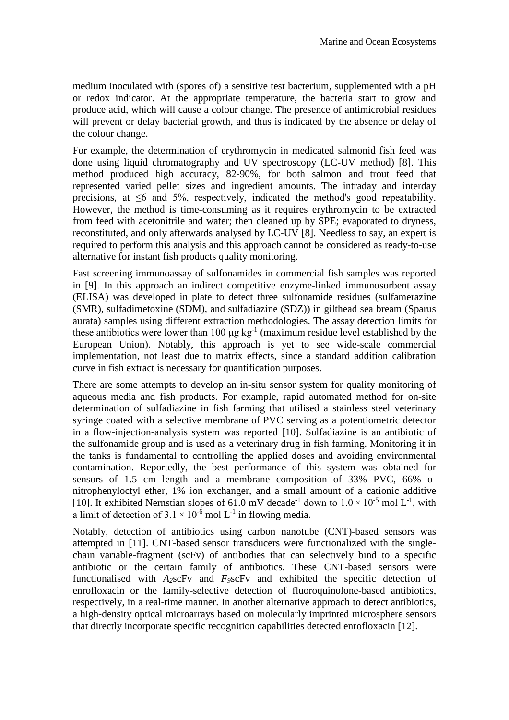medium inoculated with (spores of) a sensitive test bacterium, supplemented with a pH or redox indicator. At the appropriate temperature, the bacteria start to grow and produce acid, which will cause a colour change. The presence of antimicrobial residues will prevent or delay bacterial growth, and thus is indicated by the absence or delay of the colour change.

For example, the determination of erythromycin in medicated salmonid fish feed was done using liquid chromatography and UV spectroscopy (LC-UV method) [\[8\]](#page-7-7). This method produced high accuracy, 82-90%, for both salmon and trout feed that represented varied pellet sizes and ingredient amounts. The intraday and interday precisions, at ≤6 and 5%, respectively, indicated the method's good repeatability. However, the method is time-consuming as it requires erythromycin to be extracted from feed with acetonitrile and water; then cleaned up by SPE; evaporated to dryness, reconstituted, and only afterwards analysed by LC-UV [\[8\]](#page-7-7). Needless to say, an expert is required to perform this analysis and this approach cannot be considered as ready-to-use alternative for instant fish products quality monitoring.

Fast screening immunoassay of sulfonamides in commercial fish samples was reported in [\[9\]](#page-7-8). In this approach an indirect competitive enzyme-linked immunosorbent assay (ELISA) was developed in plate to detect three sulfonamide residues (sulfamerazine (SMR), sulfadimetoxine (SDM), and sulfadiazine (SDZ)) in gilthead sea bream (Sparus aurata) samples using different extraction methodologies. The assay detection limits for these antibiotics were lower than 100  $\mu$ g kg<sup>-1</sup> (maximum residue level established by the European Union). Notably, this approach is yet to see wide-scale commercial implementation, not least due to matrix effects, since a standard addition calibration curve in fish extract is necessary for quantification purposes.

There are some attempts to develop an in-situ sensor system for quality monitoring of aqueous media and fish products. For example, rapid automated method for on-site determination of sulfadiazine in fish farming that utilised a stainless steel veterinary syringe coated with a selective membrane of PVC serving as a potentiometric detector in a flow-injection-analysis system was reported [\[10\]](#page-7-9). Sulfadiazine is an antibiotic of the sulfonamide group and is used as a veterinary drug in fish farming. Monitoring it in the tanks is fundamental to controlling the applied doses and avoiding environmental contamination. Reportedly, the best performance of this system was obtained for sensors of 1.5 cm length and a membrane composition of 33% PVC, 66% onitrophenyloctyl ether, 1% ion exchanger, and a small amount of a cationic additive [\[10\]](#page-7-9). It exhibited Nernstian slopes of 61.0 mV decade<sup>-1</sup> down to  $1.0 \times 10^{-5}$  mol L<sup>-1</sup>, with a limit of detection of  $3.1 \times 10^{-6}$  mol L<sup>-1</sup> in flowing media.

Notably, detection of antibiotics using carbon nanotube (CNT)-based sensors was attempted in [\[11\]](#page-7-10). CNT-based sensor transducers were functionalized with the singlechain variable-fragment (scFv) of antibodies that can selectively bind to a specific antibiotic or the certain family of antibiotics. These CNT-based sensors were functionalised with *A2*scFv and *F9*scFv and exhibited the specific detection of enrofloxacin or the family-selective detection of fluoroquinolone-based antibiotics, respectively, in a real-time manner. In another alternative approach to detect antibiotics, a high-density optical microarrays based on molecularly imprinted microsphere sensors that directly incorporate specific recognition capabilities detected enrofloxacin [\[12\]](#page-7-11).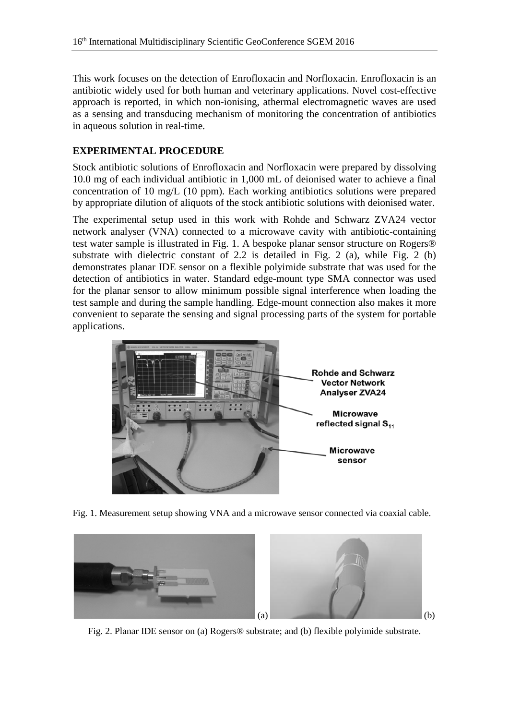This work focuses on the detection of Enrofloxacin and Norfloxacin. Enrofloxacin is an antibiotic widely used for both human and veterinary applications. Novel cost-effective approach is reported, in which non-ionising, athermal electromagnetic waves are used as a sensing and transducing mechanism of monitoring the concentration of antibiotics in aqueous solution in real-time.

# **EXPERIMENTAL PROCEDURE**

Stock antibiotic solutions of Enrofloxacin and Norfloxacin were prepared by dissolving 10.0 mg of each individual antibiotic in 1,000 mL of deionised water to achieve a final concentration of 10 mg/L (10 ppm). Each working antibiotics solutions were prepared by appropriate dilution of aliquots of the stock antibiotic solutions with deionised water.

The experimental setup used in this work with Rohde and Schwarz ZVA24 vector network analyser (VNA) connected to a microwave cavity with antibiotic-containing test water sample is illustrated in Fig. 1. A bespoke planar sensor structure on Rogers® substrate with dielectric constant of 2.2 is detailed in Fig. 2 (a), while Fig. 2 (b) demonstrates planar IDE sensor on a flexible polyimide substrate that was used for the detection of antibiotics in water. Standard edge-mount type SMA connector was used for the planar sensor to allow minimum possible signal interference when loading the test sample and during the sample handling. Edge-mount connection also makes it more convenient to separate the sensing and signal processing parts of the system for portable applications.



Fig. 1. Measurement setup showing VNA and a microwave sensor connected via coaxial cable.



Fig. 2. Planar IDE sensor on (a) Rogers® substrate; and (b) flexible polyimide substrate.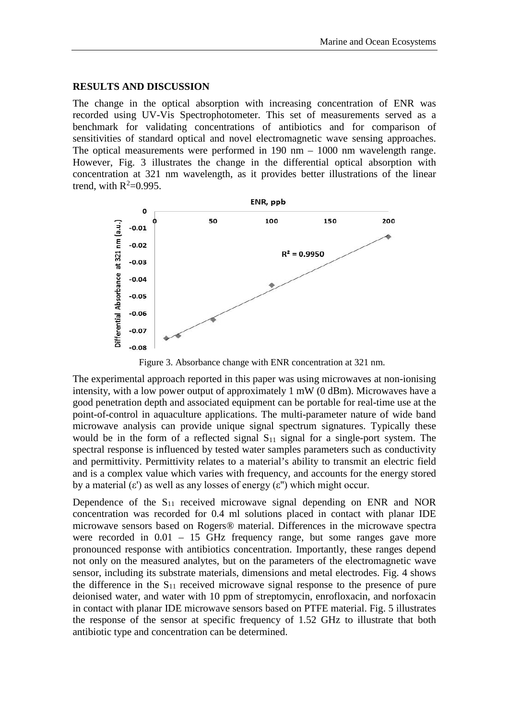#### **RESULTS AND DISCUSSION**

The change in the optical absorption with increasing concentration of ENR was recorded using UV-Vis Spectrophotometer. This set of measurements served as a benchmark for validating concentrations of antibiotics and for comparison of sensitivities of standard optical and novel electromagnetic wave sensing approaches. The optical measurements were performed in 190 nm – 1000 nm wavelength range. However, Fig. 3 illustrates the change in the differential optical absorption with concentration at 321 nm wavelength, as it provides better illustrations of the linear trend, with  $R^2=0.995$ .



Figure 3. Absorbance change with ENR concentration at 321 nm.

The experimental approach reported in this paper was using microwaves at non-ionising intensity, with a low power output of approximately 1 mW (0 dBm). Microwaves have a good penetration depth and associated equipment can be portable for real-time use at the point-of-control in aquaculture applications. The multi-parameter nature of wide band microwave analysis can provide unique signal spectrum signatures. Typically these would be in the form of a reflected signal  $S_{11}$  signal for a single-port system. The spectral response is influenced by tested water samples parameters such as conductivity and permittivity. Permittivity relates to a material's ability to transmit an electric field and is a complex value which varies with frequency, and accounts for the energy stored by a material  $(\varepsilon')$  as well as any losses of energy  $(\varepsilon'')$  which might occur.

Dependence of the  $S_{11}$  received microwave signal depending on ENR and NOR concentration was recorded for 0.4 ml solutions placed in contact with planar IDE microwave sensors based on Rogers® material. Differences in the microwave spectra were recorded in 0.01 – 15 GHz frequency range, but some ranges gave more pronounced response with antibiotics concentration. Importantly, these ranges depend not only on the measured analytes, but on the parameters of the electromagnetic wave sensor, including its substrate materials, dimensions and metal electrodes. Fig. 4 shows the difference in the  $S_{11}$  received microwave signal response to the presence of pure deionised water, and water with 10 ppm of streptomycin, enrofloxacin, and norfoxacin in contact with planar IDE microwave sensors based on PTFE material. Fig. 5 illustrates the response of the sensor at specific frequency of 1.52 GHz to illustrate that both antibiotic type and concentration can be determined.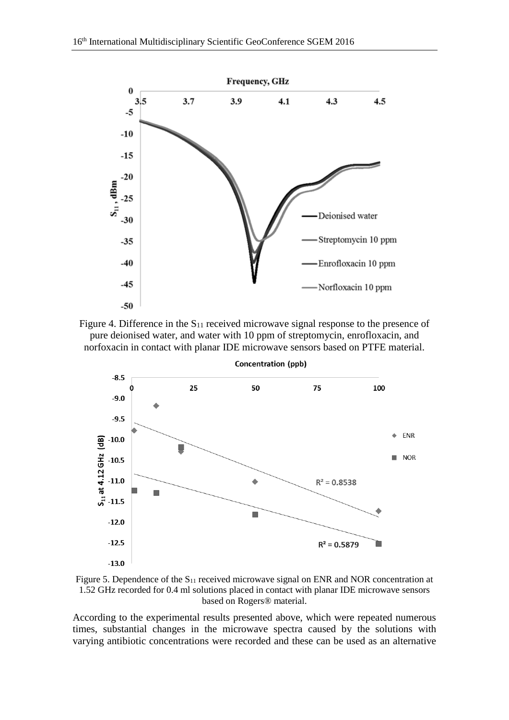





Figure 5. Dependence of the  $S_{11}$  received microwave signal on ENR and NOR concentration at 1.52 GHz recorded for 0.4 ml solutions placed in contact with planar IDE microwave sensors based on Rogers® material.

According to the experimental results presented above, which were repeated numerous times, substantial changes in the microwave spectra caused by the solutions with varying antibiotic concentrations were recorded and these can be used as an alternative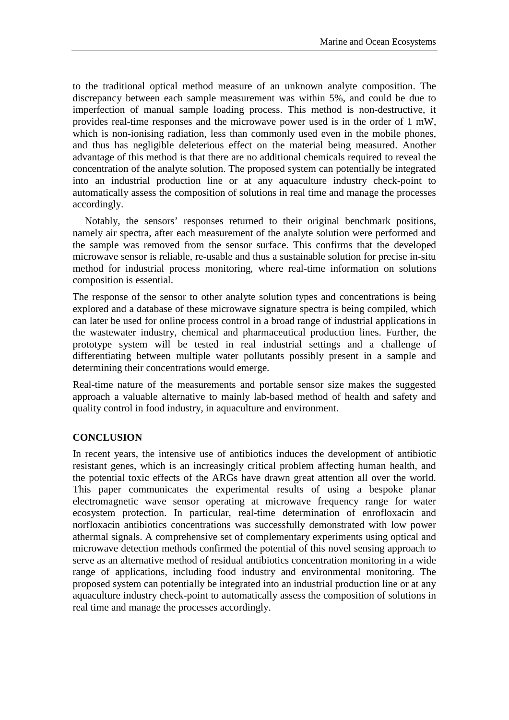to the traditional optical method measure of an unknown analyte composition. The discrepancy between each sample measurement was within 5%, and could be due to imperfection of manual sample loading process. This method is non-destructive, it provides real-time responses and the microwave power used is in the order of 1 mW, which is non-ionising radiation, less than commonly used even in the mobile phones, and thus has negligible deleterious effect on the material being measured. Another advantage of this method is that there are no additional chemicals required to reveal the concentration of the analyte solution. The proposed system can potentially be integrated into an industrial production line or at any aquaculture industry check-point to automatically assess the composition of solutions in real time and manage the processes accordingly.

Notably, the sensors' responses returned to their original benchmark positions, namely air spectra, after each measurement of the analyte solution were performed and the sample was removed from the sensor surface. This confirms that the developed microwave sensor is reliable, re-usable and thus a sustainable solution for precise in-situ method for industrial process monitoring, where real-time information on solutions composition is essential.

The response of the sensor to other analyte solution types and concentrations is being explored and a database of these microwave signature spectra is being compiled, which can later be used for online process control in a broad range of industrial applications in the wastewater industry, chemical and pharmaceutical production lines. Further, the prototype system will be tested in real industrial settings and a challenge of differentiating between multiple water pollutants possibly present in a sample and determining their concentrations would emerge.

Real-time nature of the measurements and portable sensor size makes the suggested approach a valuable alternative to mainly lab-based method of health and safety and quality control in food industry, in aquaculture and environment.

## **CONCLUSION**

In recent years, the intensive use of antibiotics induces the development of antibiotic resistant genes, which is an increasingly critical problem affecting human health, and the potential toxic effects of the ARGs have drawn great attention all over the world. This paper communicates the experimental results of using a bespoke planar electromagnetic wave sensor operating at microwave frequency range for water ecosystem protection. In particular, real-time determination of enrofloxacin and norfloxacin antibiotics concentrations was successfully demonstrated with low power athermal signals. A comprehensive set of complementary experiments using optical and microwave detection methods confirmed the potential of this novel sensing approach to serve as an alternative method of residual antibiotics concentration monitoring in a wide range of applications, including food industry and environmental monitoring. The proposed system can potentially be integrated into an industrial production line or at any aquaculture industry check-point to automatically assess the composition of solutions in real time and manage the processes accordingly.